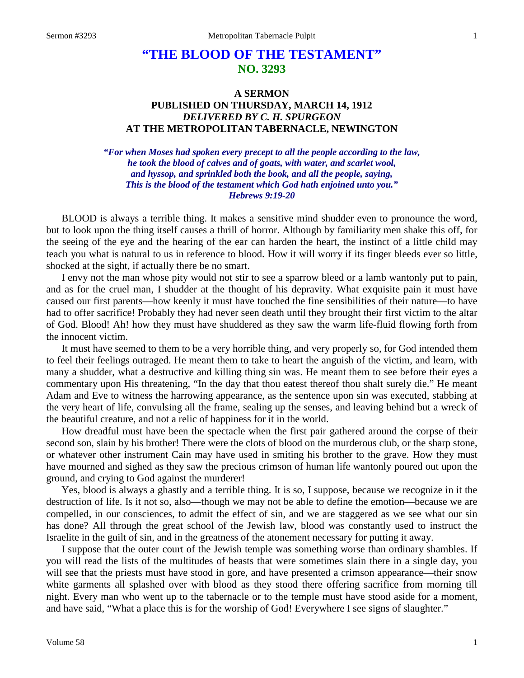# **"THE BLOOD OF THE TESTAMENT" NO. 3293**

## **A SERMON PUBLISHED ON THURSDAY, MARCH 14, 1912** *DELIVERED BY C. H. SPURGEON* **AT THE METROPOLITAN TABERNACLE, NEWINGTON**

*"For when Moses had spoken every precept to all the people according to the law, he took the blood of calves and of goats, with water, and scarlet wool, and hyssop, and sprinkled both the book, and all the people, saying, This is the blood of the testament which God hath enjoined unto you." Hebrews 9:19-20*

BLOOD is always a terrible thing. It makes a sensitive mind shudder even to pronounce the word, but to look upon the thing itself causes a thrill of horror. Although by familiarity men shake this off, for the seeing of the eye and the hearing of the ear can harden the heart, the instinct of a little child may teach you what is natural to us in reference to blood. How it will worry if its finger bleeds ever so little, shocked at the sight, if actually there be no smart.

I envy not the man whose pity would not stir to see a sparrow bleed or a lamb wantonly put to pain, and as for the cruel man, I shudder at the thought of his depravity. What exquisite pain it must have caused our first parents—how keenly it must have touched the fine sensibilities of their nature—to have had to offer sacrifice! Probably they had never seen death until they brought their first victim to the altar of God. Blood! Ah! how they must have shuddered as they saw the warm life-fluid flowing forth from the innocent victim.

It must have seemed to them to be a very horrible thing, and very properly so, for God intended them to feel their feelings outraged. He meant them to take to heart the anguish of the victim, and learn, with many a shudder, what a destructive and killing thing sin was. He meant them to see before their eyes a commentary upon His threatening, "In the day that thou eatest thereof thou shalt surely die." He meant Adam and Eve to witness the harrowing appearance, as the sentence upon sin was executed, stabbing at the very heart of life, convulsing all the frame, sealing up the senses, and leaving behind but a wreck of the beautiful creature, and not a relic of happiness for it in the world.

How dreadful must have been the spectacle when the first pair gathered around the corpse of their second son, slain by his brother! There were the clots of blood on the murderous club, or the sharp stone, or whatever other instrument Cain may have used in smiting his brother to the grave. How they must have mourned and sighed as they saw the precious crimson of human life wantonly poured out upon the ground, and crying to God against the murderer!

Yes, blood is always a ghastly and a terrible thing. It is so, I suppose, because we recognize in it the destruction of life. Is it not so, also—though we may not be able to define the emotion—because we are compelled, in our consciences, to admit the effect of sin, and we are staggered as we see what our sin has done? All through the great school of the Jewish law, blood was constantly used to instruct the Israelite in the guilt of sin, and in the greatness of the atonement necessary for putting it away.

I suppose that the outer court of the Jewish temple was something worse than ordinary shambles. If you will read the lists of the multitudes of beasts that were sometimes slain there in a single day, you will see that the priests must have stood in gore, and have presented a crimson appearance—their snow white garments all splashed over with blood as they stood there offering sacrifice from morning till night. Every man who went up to the tabernacle or to the temple must have stood aside for a moment, and have said, "What a place this is for the worship of God! Everywhere I see signs of slaughter."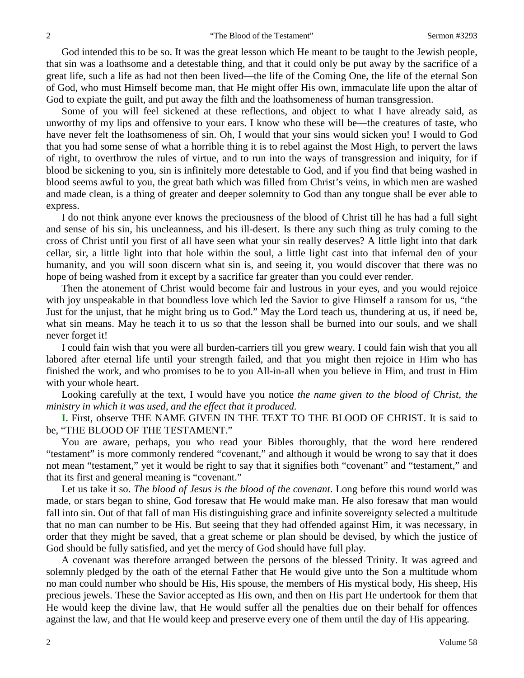God intended this to be so. It was the great lesson which He meant to be taught to the Jewish people, that sin was a loathsome and a detestable thing, and that it could only be put away by the sacrifice of a great life, such a life as had not then been lived—the life of the Coming One, the life of the eternal Son of God, who must Himself become man, that He might offer His own, immaculate life upon the altar of God to expiate the guilt, and put away the filth and the loathsomeness of human transgression.

Some of you will feel sickened at these reflections, and object to what I have already said, as unworthy of my lips and offensive to your ears. I know who these will be—the creatures of taste, who have never felt the loathsomeness of sin. Oh, I would that your sins would sicken you! I would to God that you had some sense of what a horrible thing it is to rebel against the Most High, to pervert the laws of right, to overthrow the rules of virtue, and to run into the ways of transgression and iniquity, for if blood be sickening to you, sin is infinitely more detestable to God, and if you find that being washed in blood seems awful to you, the great bath which was filled from Christ's veins, in which men are washed and made clean, is a thing of greater and deeper solemnity to God than any tongue shall be ever able to express.

I do not think anyone ever knows the preciousness of the blood of Christ till he has had a full sight and sense of his sin, his uncleanness, and his ill-desert. Is there any such thing as truly coming to the cross of Christ until you first of all have seen what your sin really deserves? A little light into that dark cellar, sir, a little light into that hole within the soul, a little light cast into that infernal den of your humanity, and you will soon discern what sin is, and seeing it, you would discover that there was no hope of being washed from it except by a sacrifice far greater than you could ever render.

Then the atonement of Christ would become fair and lustrous in your eyes, and you would rejoice with joy unspeakable in that boundless love which led the Savior to give Himself a ransom for us, "the Just for the unjust, that he might bring us to God." May the Lord teach us, thundering at us, if need be, what sin means. May he teach it to us so that the lesson shall be burned into our souls, and we shall never forget it!

I could fain wish that you were all burden-carriers till you grew weary. I could fain wish that you all labored after eternal life until your strength failed, and that you might then rejoice in Him who has finished the work, and who promises to be to you All-in-all when you believe in Him, and trust in Him with your whole heart.

Looking carefully at the text, I would have you notice *the name given to the blood of Christ, the ministry in which it was used, and the effect that it produced.*

**I.** First, observe THE NAME GIVEN IN THE TEXT TO THE BLOOD OF CHRIST. It is said to be, "THE BLOOD OF THE TESTAMENT."

You are aware, perhaps, you who read your Bibles thoroughly, that the word here rendered "testament" is more commonly rendered "covenant," and although it would be wrong to say that it does not mean "testament," yet it would be right to say that it signifies both "covenant" and "testament," and that its first and general meaning is "covenant."

Let us take it so. *The blood of Jesus is the blood of the covenant*. Long before this round world was made, or stars began to shine, God foresaw that He would make man. He also foresaw that man would fall into sin. Out of that fall of man His distinguishing grace and infinite sovereignty selected a multitude that no man can number to be His. But seeing that they had offended against Him, it was necessary, in order that they might be saved, that a great scheme or plan should be devised, by which the justice of God should be fully satisfied, and yet the mercy of God should have full play.

A covenant was therefore arranged between the persons of the blessed Trinity. It was agreed and solemnly pledged by the oath of the eternal Father that He would give unto the Son a multitude whom no man could number who should be His, His spouse, the members of His mystical body, His sheep, His precious jewels. These the Savior accepted as His own, and then on His part He undertook for them that He would keep the divine law, that He would suffer all the penalties due on their behalf for offences against the law, and that He would keep and preserve every one of them until the day of His appearing.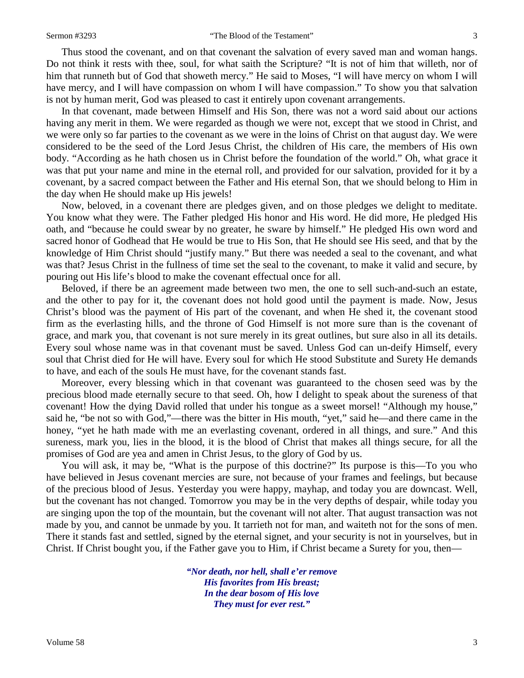Thus stood the covenant, and on that covenant the salvation of every saved man and woman hangs. Do not think it rests with thee, soul, for what saith the Scripture? "It is not of him that willeth, nor of him that runneth but of God that showeth mercy." He said to Moses, "I will have mercy on whom I will have mercy, and I will have compassion on whom I will have compassion." To show you that salvation is not by human merit, God was pleased to cast it entirely upon covenant arrangements.

In that covenant, made between Himself and His Son, there was not a word said about our actions having any merit in them. We were regarded as though we were not, except that we stood in Christ, and we were only so far parties to the covenant as we were in the loins of Christ on that august day. We were considered to be the seed of the Lord Jesus Christ, the children of His care, the members of His own body. "According as he hath chosen us in Christ before the foundation of the world." Oh, what grace it was that put your name and mine in the eternal roll, and provided for our salvation, provided for it by a covenant, by a sacred compact between the Father and His eternal Son, that we should belong to Him in the day when He should make up His jewels!

Now, beloved, in a covenant there are pledges given, and on those pledges we delight to meditate. You know what they were. The Father pledged His honor and His word. He did more, He pledged His oath, and "because he could swear by no greater, he sware by himself." He pledged His own word and sacred honor of Godhead that He would be true to His Son, that He should see His seed, and that by the knowledge of Him Christ should "justify many." But there was needed a seal to the covenant, and what was that? Jesus Christ in the fullness of time set the seal to the covenant, to make it valid and secure, by pouring out His life's blood to make the covenant effectual once for all.

Beloved, if there be an agreement made between two men, the one to sell such-and-such an estate, and the other to pay for it, the covenant does not hold good until the payment is made. Now, Jesus Christ's blood was the payment of His part of the covenant, and when He shed it, the covenant stood firm as the everlasting hills, and the throne of God Himself is not more sure than is the covenant of grace, and mark you, that covenant is not sure merely in its great outlines, but sure also in all its details. Every soul whose name was in that covenant must be saved. Unless God can un-deify Himself, every soul that Christ died for He will have. Every soul for which He stood Substitute and Surety He demands to have, and each of the souls He must have, for the covenant stands fast.

Moreover, every blessing which in that covenant was guaranteed to the chosen seed was by the precious blood made eternally secure to that seed. Oh, how I delight to speak about the sureness of that covenant! How the dying David rolled that under his tongue as a sweet morsel! "Although my house," said he, "be not so with God,"—there was the bitter in His mouth, "yet," said he—and there came in the honey, "yet he hath made with me an everlasting covenant, ordered in all things, and sure." And this sureness, mark you, lies in the blood, it is the blood of Christ that makes all things secure, for all the promises of God are yea and amen in Christ Jesus, to the glory of God by us.

You will ask, it may be, "What is the purpose of this doctrine?" Its purpose is this—To you who have believed in Jesus covenant mercies are sure, not because of your frames and feelings, but because of the precious blood of Jesus. Yesterday you were happy, mayhap, and today you are downcast. Well, but the covenant has not changed. Tomorrow you may be in the very depths of despair, while today you are singing upon the top of the mountain, but the covenant will not alter. That august transaction was not made by you, and cannot be unmade by you. It tarrieth not for man, and waiteth not for the sons of men. There it stands fast and settled, signed by the eternal signet, and your security is not in yourselves, but in Christ. If Christ bought you, if the Father gave you to Him, if Christ became a Surety for you, then—

> *"Nor death, nor hell, shall e'er remove His favorites from His breast; In the dear bosom of His love They must for ever rest."*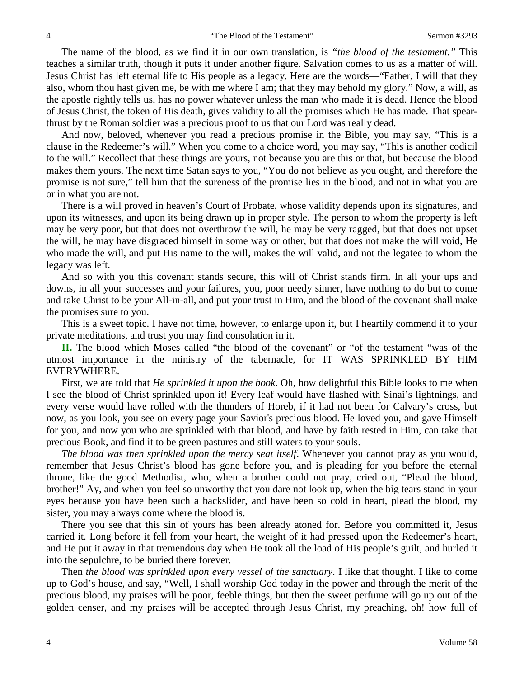The name of the blood, as we find it in our own translation, is *"the blood of the testament."* This teaches a similar truth, though it puts it under another figure. Salvation comes to us as a matter of will. Jesus Christ has left eternal life to His people as a legacy. Here are the words—"Father, I will that they also, whom thou hast given me, be with me where I am; that they may behold my glory." Now, a will, as the apostle rightly tells us, has no power whatever unless the man who made it is dead. Hence the blood of Jesus Christ, the token of His death, gives validity to all the promises which He has made. That spearthrust by the Roman soldier was a precious proof to us that our Lord was really dead.

And now, beloved, whenever you read a precious promise in the Bible, you may say, "This is a clause in the Redeemer's will." When you come to a choice word, you may say, "This is another codicil to the will." Recollect that these things are yours, not because you are this or that, but because the blood makes them yours. The next time Satan says to you, "You do not believe as you ought, and therefore the promise is not sure," tell him that the sureness of the promise lies in the blood, and not in what you are or in what you are not.

There is a will proved in heaven's Court of Probate, whose validity depends upon its signatures, and upon its witnesses, and upon its being drawn up in proper style. The person to whom the property is left may be very poor, but that does not overthrow the will, he may be very ragged, but that does not upset the will, he may have disgraced himself in some way or other, but that does not make the will void, He who made the will, and put His name to the will, makes the will valid, and not the legatee to whom the legacy was left.

And so with you this covenant stands secure, this will of Christ stands firm. In all your ups and downs, in all your successes and your failures, you, poor needy sinner, have nothing to do but to come and take Christ to be your All-in-all, and put your trust in Him, and the blood of the covenant shall make the promises sure to you.

This is a sweet topic. I have not time, however, to enlarge upon it, but I heartily commend it to your private meditations, and trust you may find consolation in it.

**II.** The blood which Moses called "the blood of the covenant" or "of the testament "was of the utmost importance in the ministry of the tabernacle, for IT WAS SPRINKLED BY HIM EVERYWHERE.

First, we are told that *He sprinkled it upon the book*. Oh, how delightful this Bible looks to me when I see the blood of Christ sprinkled upon it! Every leaf would have flashed with Sinai's lightnings, and every verse would have rolled with the thunders of Horeb, if it had not been for Calvary's cross, but now, as you look, you see on every page your Savior's precious blood. He loved you, and gave Himself for you, and now you who are sprinkled with that blood, and have by faith rested in Him, can take that precious Book, and find it to be green pastures and still waters to your souls.

*The blood was then sprinkled upon the mercy seat itself*. Whenever you cannot pray as you would, remember that Jesus Christ's blood has gone before you, and is pleading for you before the eternal throne, like the good Methodist, who, when a brother could not pray, cried out, "Plead the blood, brother!" Ay, and when you feel so unworthy that you dare not look up, when the big tears stand in your eyes because you have been such a backslider, and have been so cold in heart, plead the blood, my sister, you may always come where the blood is.

There you see that this sin of yours has been already atoned for. Before you committed it, Jesus carried it. Long before it fell from your heart, the weight of it had pressed upon the Redeemer's heart, and He put it away in that tremendous day when He took all the load of His people's guilt, and hurled it into the sepulchre, to be buried there forever.

Then *the blood was sprinkled upon every vessel of the sanctuary*. I like that thought. I like to come up to God's house, and say, "Well, I shall worship God today in the power and through the merit of the precious blood, my praises will be poor, feeble things, but then the sweet perfume will go up out of the golden censer, and my praises will be accepted through Jesus Christ, my preaching, oh! how full of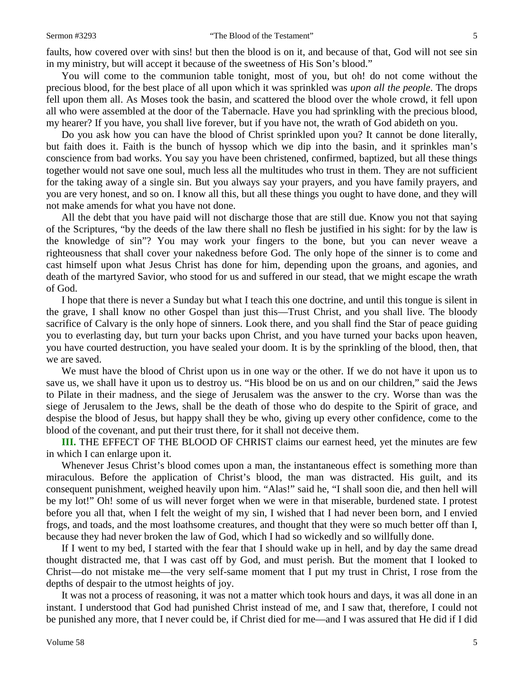faults, how covered over with sins! but then the blood is on it, and because of that, God will not see sin in my ministry, but will accept it because of the sweetness of His Son's blood."

You will come to the communion table tonight, most of you, but oh! do not come without the precious blood, for the best place of all upon which it was sprinkled was *upon all the people*. The drops fell upon them all. As Moses took the basin, and scattered the blood over the whole crowd, it fell upon all who were assembled at the door of the Tabernacle. Have you had sprinkling with the precious blood, my hearer? If you have, you shall live forever, but if you have not, the wrath of God abideth on you.

Do you ask how you can have the blood of Christ sprinkled upon you? It cannot be done literally, but faith does it. Faith is the bunch of hyssop which we dip into the basin, and it sprinkles man's conscience from bad works. You say you have been christened, confirmed, baptized, but all these things together would not save one soul, much less all the multitudes who trust in them. They are not sufficient for the taking away of a single sin. But you always say your prayers, and you have family prayers, and you are very honest, and so on. I know all this, but all these things you ought to have done, and they will not make amends for what you have not done.

All the debt that you have paid will not discharge those that are still due. Know you not that saying of the Scriptures, "by the deeds of the law there shall no flesh be justified in his sight: for by the law is the knowledge of sin"? You may work your fingers to the bone, but you can never weave a righteousness that shall cover your nakedness before God. The only hope of the sinner is to come and cast himself upon what Jesus Christ has done for him, depending upon the groans, and agonies, and death of the martyred Savior, who stood for us and suffered in our stead, that we might escape the wrath of God.

I hope that there is never a Sunday but what I teach this one doctrine, and until this tongue is silent in the grave, I shall know no other Gospel than just this—Trust Christ, and you shall live. The bloody sacrifice of Calvary is the only hope of sinners. Look there, and you shall find the Star of peace guiding you to everlasting day, but turn your backs upon Christ, and you have turned your backs upon heaven, you have courted destruction, you have sealed your doom. It is by the sprinkling of the blood, then, that we are saved.

We must have the blood of Christ upon us in one way or the other. If we do not have it upon us to save us, we shall have it upon us to destroy us. "His blood be on us and on our children," said the Jews to Pilate in their madness, and the siege of Jerusalem was the answer to the cry. Worse than was the siege of Jerusalem to the Jews, shall be the death of those who do despite to the Spirit of grace, and despise the blood of Jesus, but happy shall they be who, giving up every other confidence, come to the blood of the covenant, and put their trust there, for it shall not deceive them.

**III.** THE EFFECT OF THE BLOOD OF CHRIST claims our earnest heed, yet the minutes are few in which I can enlarge upon it.

Whenever Jesus Christ's blood comes upon a man, the instantaneous effect is something more than miraculous. Before the application of Christ's blood, the man was distracted. His guilt, and its consequent punishment, weighed heavily upon him. "Alas!" said he, "I shall soon die, and then hell will be my lot!" Oh! some of us will never forget when we were in that miserable, burdened state. I protest before you all that, when I felt the weight of my sin, I wished that I had never been born, and I envied frogs, and toads, and the most loathsome creatures, and thought that they were so much better off than I, because they had never broken the law of God, which I had so wickedly and so willfully done.

If I went to my bed, I started with the fear that I should wake up in hell, and by day the same dread thought distracted me, that I was cast off by God, and must perish. But the moment that I looked to Christ—do not mistake me—the very self-same moment that I put my trust in Christ, I rose from the depths of despair to the utmost heights of joy.

It was not a process of reasoning, it was not a matter which took hours and days, it was all done in an instant. I understood that God had punished Christ instead of me, and I saw that, therefore, I could not be punished any more, that I never could be, if Christ died for me—and I was assured that He did if I did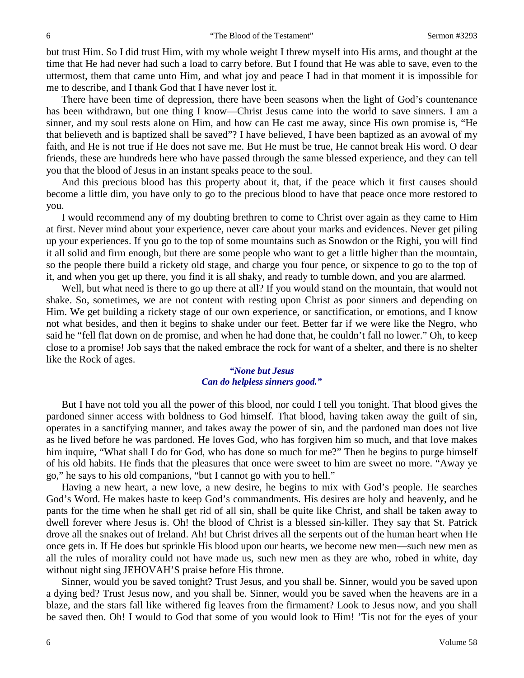but trust Him. So I did trust Him, with my whole weight I threw myself into His arms, and thought at the time that He had never had such a load to carry before. But I found that He was able to save, even to the uttermost, them that came unto Him, and what joy and peace I had in that moment it is impossible for me to describe, and I thank God that I have never lost it.

There have been time of depression, there have been seasons when the light of God's countenance has been withdrawn, but one thing I know—Christ Jesus came into the world to save sinners. I am a sinner, and my soul rests alone on Him, and how can He cast me away, since His own promise is, "He that believeth and is baptized shall be saved"? I have believed, I have been baptized as an avowal of my faith, and He is not true if He does not save me. But He must be true, He cannot break His word. O dear friends, these are hundreds here who have passed through the same blessed experience, and they can tell you that the blood of Jesus in an instant speaks peace to the soul.

And this precious blood has this property about it, that, if the peace which it first causes should become a little dim, you have only to go to the precious blood to have that peace once more restored to you.

I would recommend any of my doubting brethren to come to Christ over again as they came to Him at first. Never mind about your experience, never care about your marks and evidences. Never get piling up your experiences. If you go to the top of some mountains such as Snowdon or the Righi, you will find it all solid and firm enough, but there are some people who want to get a little higher than the mountain, so the people there build a rickety old stage, and charge you four pence, or sixpence to go to the top of it, and when you get up there, you find it is all shaky, and ready to tumble down, and you are alarmed.

Well, but what need is there to go up there at all? If you would stand on the mountain, that would not shake. So, sometimes, we are not content with resting upon Christ as poor sinners and depending on Him. We get building a rickety stage of our own experience, or sanctification, or emotions, and I know not what besides, and then it begins to shake under our feet. Better far if we were like the Negro, who said he "fell flat down on de promise, and when he had done that, he couldn't fall no lower." Oh, to keep close to a promise! Job says that the naked embrace the rock for want of a shelter, and there is no shelter like the Rock of ages.

#### *"None but Jesus Can do helpless sinners good."*

But I have not told you all the power of this blood, nor could I tell you tonight. That blood gives the pardoned sinner access with boldness to God himself. That blood, having taken away the guilt of sin, operates in a sanctifying manner, and takes away the power of sin, and the pardoned man does not live as he lived before he was pardoned. He loves God, who has forgiven him so much, and that love makes him inquire, "What shall I do for God, who has done so much for me?" Then he begins to purge himself of his old habits. He finds that the pleasures that once were sweet to him are sweet no more. "Away ye go," he says to his old companions, "but I cannot go with you to hell."

Having a new heart, a new love, a new desire, he begins to mix with God's people. He searches God's Word. He makes haste to keep God's commandments. His desires are holy and heavenly, and he pants for the time when he shall get rid of all sin, shall be quite like Christ, and shall be taken away to dwell forever where Jesus is. Oh! the blood of Christ is a blessed sin-killer. They say that St. Patrick drove all the snakes out of Ireland. Ah! but Christ drives all the serpents out of the human heart when He once gets in. If He does but sprinkle His blood upon our hearts, we become new men—such new men as all the rules of morality could not have made us, such new men as they are who, robed in white, day without night sing JEHOVAH'S praise before His throne.

Sinner, would you be saved tonight? Trust Jesus, and you shall be. Sinner, would you be saved upon a dying bed? Trust Jesus now, and you shall be. Sinner, would you be saved when the heavens are in a blaze, and the stars fall like withered fig leaves from the firmament? Look to Jesus now, and you shall be saved then. Oh! I would to God that some of you would look to Him! 'Tis not for the eyes of your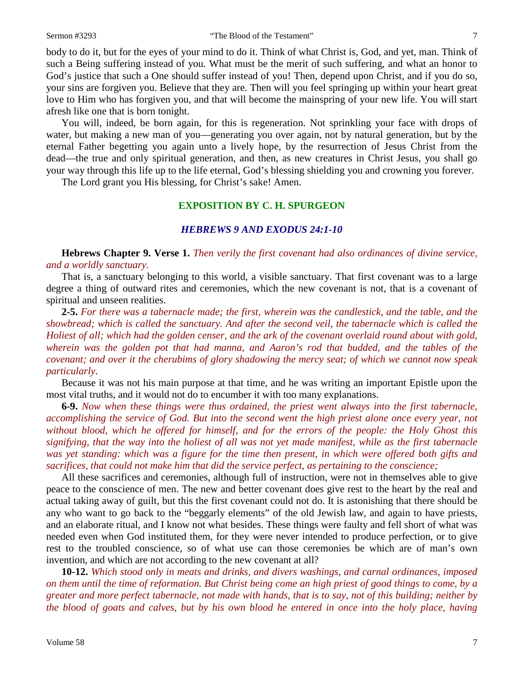body to do it, but for the eyes of your mind to do it. Think of what Christ is, God, and yet, man. Think of such a Being suffering instead of you. What must be the merit of such suffering, and what an honor to God's justice that such a One should suffer instead of you! Then, depend upon Christ, and if you do so, your sins are forgiven you. Believe that they are. Then will you feel springing up within your heart great love to Him who has forgiven you, and that will become the mainspring of your new life. You will start afresh like one that is born tonight.

You will, indeed, be born again, for this is regeneration. Not sprinkling your face with drops of water, but making a new man of you—generating you over again, not by natural generation, but by the eternal Father begetting you again unto a lively hope, by the resurrection of Jesus Christ from the dead—the true and only spiritual generation, and then, as new creatures in Christ Jesus, you shall go your way through this life up to the life eternal, God's blessing shielding you and crowning you forever.

The Lord grant you His blessing, for Christ's sake! Amen.

#### **EXPOSITION BY C. H. SPURGEON**

### *HEBREWS 9 AND EXODUS 24:1-10*

**Hebrews Chapter 9. Verse 1.** *Then verily the first covenant had also ordinances of divine service, and a worldly sanctuary.*

That is, a sanctuary belonging to this world, a visible sanctuary. That first covenant was to a large degree a thing of outward rites and ceremonies, which the new covenant is not, that is a covenant of spiritual and unseen realities.

**2-5.** *For there was a tabernacle made; the first, wherein was the candlestick, and the table, and the showbread; which is called the sanctuary. And after the second veil, the tabernacle which is called the Holiest of all; which had the golden censer, and the ark of the covenant overlaid round about with gold, wherein was the golden pot that had manna, and Aaron's rod that budded, and the tables of the covenant; and over it the cherubims of glory shadowing the mercy seat; of which we cannot now speak particularly*.

Because it was not his main purpose at that time, and he was writing an important Epistle upon the most vital truths, and it would not do to encumber it with too many explanations.

**6-9.** *Now when these things were thus ordained, the priest went always into the first tabernacle, accomplishing the service of God. But into the second went the high priest alone once every year, not without blood, which he offered for himself, and for the errors of the people: the Holy Ghost this signifying, that the way into the holiest of all was not yet made manifest, while as the first tabernacle was yet standing: which was a figure for the time then present, in which were offered both gifts and sacrifices, that could not make him that did the service perfect, as pertaining to the conscience;*

All these sacrifices and ceremonies, although full of instruction, were not in themselves able to give peace to the conscience of men. The new and better covenant does give rest to the heart by the real and actual taking away of guilt, but this the first covenant could not do. It is astonishing that there should be any who want to go back to the "beggarly elements" of the old Jewish law, and again to have priests, and an elaborate ritual, and I know not what besides. These things were faulty and fell short of what was needed even when God instituted them, for they were never intended to produce perfection, or to give rest to the troubled conscience, so of what use can those ceremonies be which are of man's own invention, and which are not according to the new covenant at all?

**10-12.** *Which stood only in meats and drinks, and divers washings, and carnal ordinances, imposed on them until the time of reformation. But Christ being come an high priest of good things to come, by a greater and more perfect tabernacle, not made with hands, that is to say, not of this building; neither by the blood of goats and calves, but by his own blood he entered in once into the holy place, having*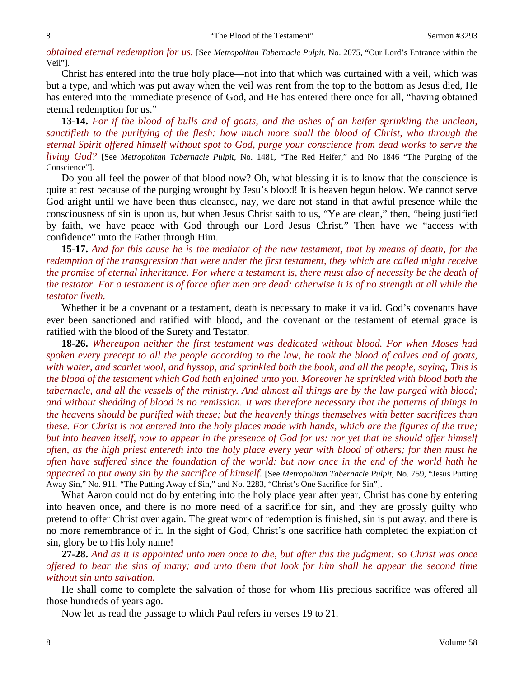*obtained eternal redemption for us.* [See *Metropolitan Tabernacle Pulpit,* No. 2075, "Our Lord's Entrance within the Veil"].

Christ has entered into the true holy place—not into that which was curtained with a veil, which was but a type, and which was put away when the veil was rent from the top to the bottom as Jesus died, He has entered into the immediate presence of God, and He has entered there once for all, "having obtained eternal redemption for us."

**13-14.** *For if the blood of bulls and of goats, and the ashes of an heifer sprinkling the unclean, sanctifieth to the purifying of the flesh: how much more shall the blood of Christ, who through the eternal Spirit offered himself without spot to God, purge your conscience from dead works to serve the living God?* [See *Metropolitan Tabernacle Pulpit,* No. 1481, "The Red Heifer," and No 1846 "The Purging of the Conscience"].

Do you all feel the power of that blood now? Oh, what blessing it is to know that the conscience is quite at rest because of the purging wrought by Jesu's blood! It is heaven begun below. We cannot serve God aright until we have been thus cleansed, nay, we dare not stand in that awful presence while the consciousness of sin is upon us, but when Jesus Christ saith to us, "Ye are clean," then, "being justified by faith, we have peace with God through our Lord Jesus Christ." Then have we "access with confidence" unto the Father through Him.

**15-17.** *And for this cause he is the mediator of the new testament, that by means of death, for the redemption of the transgression that were under the first testament, they which are called might receive the promise of eternal inheritance. For where a testament is, there must also of necessity be the death of the testator. For a testament is of force after men are dead: otherwise it is of no strength at all while the testator liveth.*

Whether it be a covenant or a testament, death is necessary to make it valid. God's covenants have ever been sanctioned and ratified with blood, and the covenant or the testament of eternal grace is ratified with the blood of the Surety and Testator.

**18-26.** *Whereupon neither the first testament was dedicated without blood. For when Moses had spoken every precept to all the people according to the law, he took the blood of calves and of goats, with water, and scarlet wool, and hyssop, and sprinkled both the book, and all the people, saying, This is the blood of the testament which God hath enjoined unto you. Moreover he sprinkled with blood both the tabernacle, and all the vessels of the ministry. And almost all things are by the law purged with blood; and without shedding of blood is no remission. It was therefore necessary that the patterns of things in the heavens should be purified with these; but the heavenly things themselves with better sacrifices than these. For Christ is not entered into the holy places made with hands, which are the figures of the true; but into heaven itself, now to appear in the presence of God for us: nor yet that he should offer himself often, as the high priest entereth into the holy place every year with blood of others; for then must he often have suffered since the foundation of the world: but now once in the end of the world hath he appeared to put away sin by the sacrifice of himself*. [See *Metropolitan Tabernacle Pulpit,* No. 759, "Jesus Putting Away Sin," No. 911, "The Putting Away of Sin," and No. 2283, "Christ's One Sacrifice for Sin"].

What Aaron could not do by entering into the holy place year after year, Christ has done by entering into heaven once, and there is no more need of a sacrifice for sin, and they are grossly guilty who pretend to offer Christ over again. The great work of redemption is finished, sin is put away, and there is no more remembrance of it. In the sight of God, Christ's one sacrifice hath completed the expiation of sin, glory be to His holy name!

**27-28.** *And as it is appointed unto men once to die, but after this the judgment: so Christ was once offered to bear the sins of many; and unto them that look for him shall he appear the second time without sin unto salvation.*

He shall come to complete the salvation of those for whom His precious sacrifice was offered all those hundreds of years ago.

Now let us read the passage to which Paul refers in verses 19 to 21.